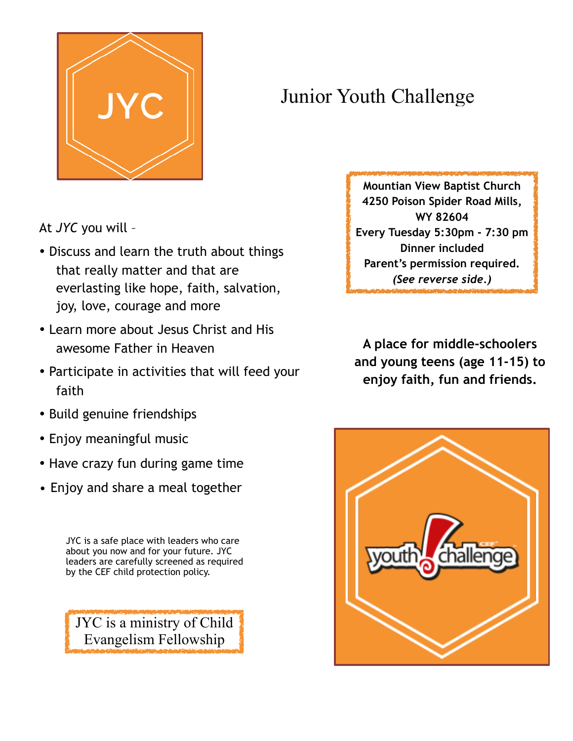

## Junior Youth Challenge

At *JYC* you will –

- Discuss and learn the truth about things that really matter and that are everlasting like hope, faith, salvation, joy, love, courage and more
- Learn more about Jesus Christ and His awesome Father in Heaven
- Participate in activities that will feed your faith
- Build genuine friendships
- Enjoy meaningful music
- Have crazy fun during game time
- Enjoy and share a meal together

JYC is a safe place with leaders who care about you now and for your future. JYC leaders are carefully screened as required by the CEF child protection policy.

JYC is a ministry of Child Evangelism Fellowship

**Mountian View Baptist Church 4250 Poison Spider Road Mills, WY 82604 Every Tuesday 5:30pm - 7:30 pm Dinner included Parent's permission required.** *(See reverse side.)*

**A place for middle-schoolers and young teens (age 11-15) to enjoy faith, fun and friends.**